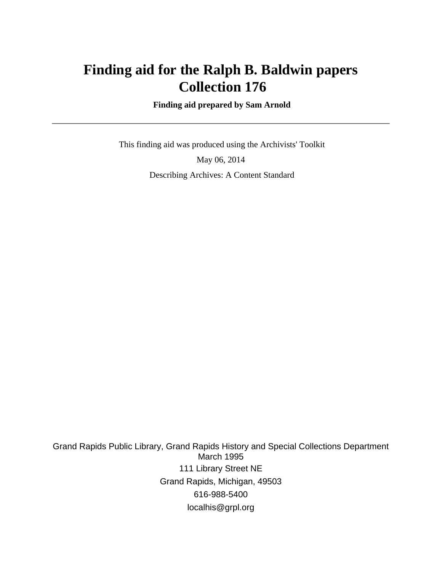# **Finding aid for the Ralph B. Baldwin papers Collection 176**

 **Finding aid prepared by Sam Arnold**

 This finding aid was produced using the Archivists' Toolkit May 06, 2014 Describing Archives: A Content Standard

Grand Rapids Public Library, Grand Rapids History and Special Collections Department March 1995 111 Library Street NE Grand Rapids, Michigan, 49503 616-988-5400 localhis@grpl.org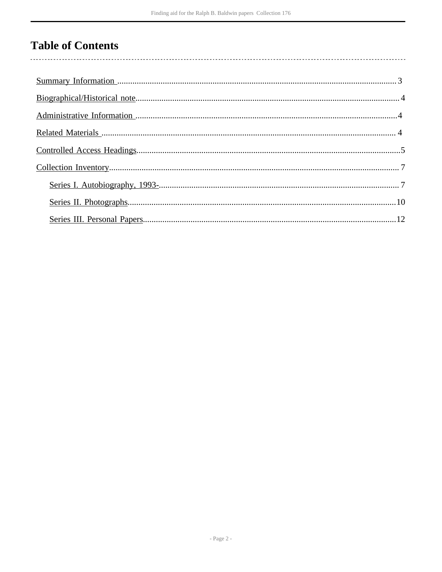# **Table of Contents**

 $\overline{\phantom{a}}$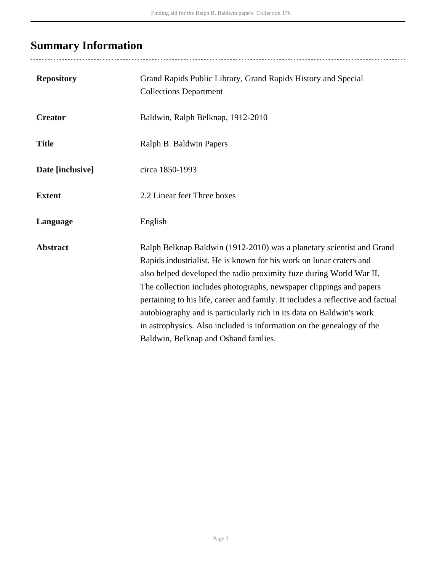# <span id="page-2-0"></span>**Summary Information**

| <b>Repository</b> | Grand Rapids Public Library, Grand Rapids History and Special<br><b>Collections Department</b>                                                                                                                                                                                                                                                                                                                                                                                                                                                                         |
|-------------------|------------------------------------------------------------------------------------------------------------------------------------------------------------------------------------------------------------------------------------------------------------------------------------------------------------------------------------------------------------------------------------------------------------------------------------------------------------------------------------------------------------------------------------------------------------------------|
| <b>Creator</b>    | Baldwin, Ralph Belknap, 1912-2010                                                                                                                                                                                                                                                                                                                                                                                                                                                                                                                                      |
| <b>Title</b>      | Ralph B. Baldwin Papers                                                                                                                                                                                                                                                                                                                                                                                                                                                                                                                                                |
| Date [inclusive]  | circa 1850-1993                                                                                                                                                                                                                                                                                                                                                                                                                                                                                                                                                        |
| <b>Extent</b>     | 2.2 Linear feet Three boxes                                                                                                                                                                                                                                                                                                                                                                                                                                                                                                                                            |
| Language          | English                                                                                                                                                                                                                                                                                                                                                                                                                                                                                                                                                                |
| <b>Abstract</b>   | Ralph Belknap Baldwin (1912-2010) was a planetary scientist and Grand<br>Rapids industrialist. He is known for his work on lunar craters and<br>also helped developed the radio proximity fuze during World War II.<br>The collection includes photographs, newspaper clippings and papers<br>pertaining to his life, career and family. It includes a reflective and factual<br>autobiography and is particularly rich in its data on Baldwin's work<br>in astrophysics. Also included is information on the genealogy of the<br>Baldwin, Belknap and Osband famlies. |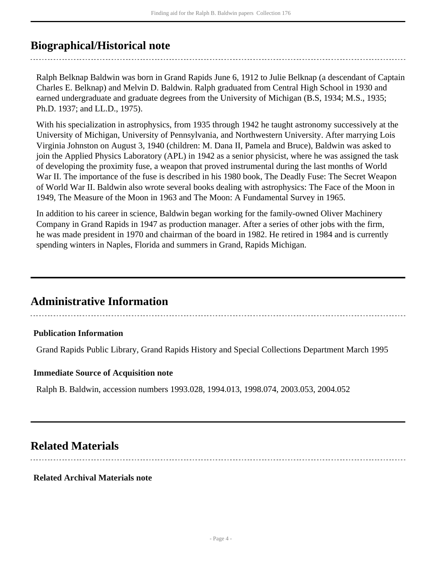# <span id="page-3-0"></span>**Biographical/Historical note**

Ralph Belknap Baldwin was born in Grand Rapids June 6, 1912 to Julie Belknap (a descendant of Captain Charles E. Belknap) and Melvin D. Baldwin. Ralph graduated from Central High School in 1930 and earned undergraduate and graduate degrees from the University of Michigan (B.S, 1934; M.S., 1935; Ph.D. 1937; and LL.D., 1975).

With his specialization in astrophysics, from 1935 through 1942 he taught astronomy successively at the University of Michigan, University of Pennsylvania, and Northwestern University. After marrying Lois Virginia Johnston on August 3, 1940 (children: M. Dana II, Pamela and Bruce), Baldwin was asked to join the Applied Physics Laboratory (APL) in 1942 as a senior physicist, where he was assigned the task of developing the proximity fuse, a weapon that proved instrumental during the last months of World War II. The importance of the fuse is described in his 1980 book, The Deadly Fuse: The Secret Weapon of World War II. Baldwin also wrote several books dealing with astrophysics: The Face of the Moon in 1949, The Measure of the Moon in 1963 and The Moon: A Fundamental Survey in 1965.

In addition to his career in science, Baldwin began working for the family-owned Oliver Machinery Company in Grand Rapids in 1947 as production manager. After a series of other jobs with the firm, he was made president in 1970 and chairman of the board in 1982. He retired in 1984 and is currently spending winters in Naples, Florida and summers in Grand, Rapids Michigan.

# <span id="page-3-1"></span>**Administrative Information**

## **Publication Information**

Grand Rapids Public Library, Grand Rapids History and Special Collections Department March 1995

#### **Immediate Source of Acquisition note**

Ralph B. Baldwin, accession numbers 1993.028, 1994.013, 1998.074, 2003.053, 2004.052

# <span id="page-3-2"></span>**Related Materials**

#### **Related Archival Materials note**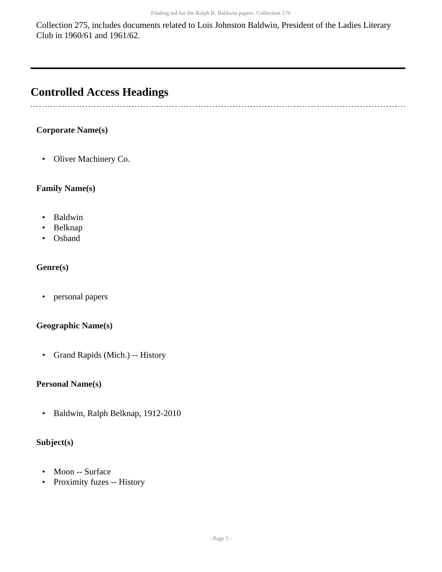Collection 275, includes documents related to Lois Johnston Baldwin, President of the Ladies Literary Club in 1960/61 and 1961/62.

# <span id="page-4-0"></span>**Controlled Access Headings**

## **Corporate Name(s)**

• Oliver Machinery Co.

### **Family Name(s)**

- Baldwin
- Belknap
- Osband

### **Genre(s)**

• personal papers

#### **Geographic Name(s)**

• Grand Rapids (Mich.) -- History

#### **Personal Name(s)**

• Baldwin, Ralph Belknap, 1912-2010

## **Subject(s)**

- Moon -- Surface
- Proximity fuzes -- History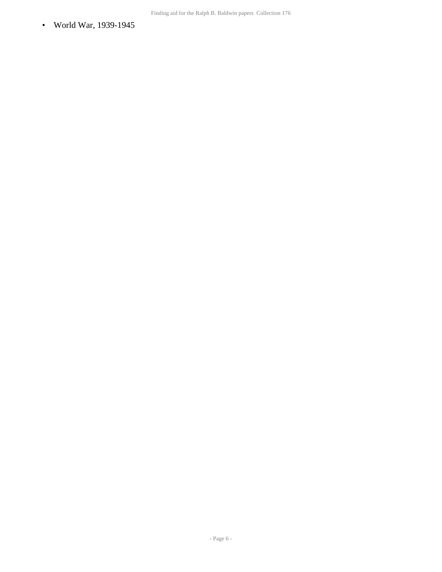• World War, 1939-1945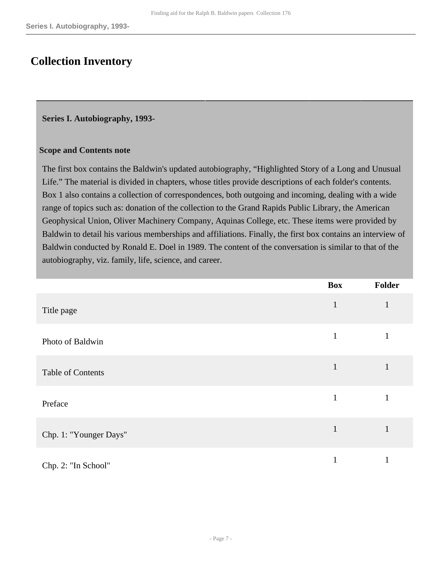# <span id="page-6-0"></span>**Collection Inventory**

#### <span id="page-6-1"></span>**Series I. Autobiography, 1993-**

#### **Scope and Contents note**

The first box contains the Baldwin's updated autobiography, "Highlighted Story of a Long and Unusual Life." The material is divided in chapters, whose titles provide descriptions of each folder's contents. Box 1 also contains a collection of correspondences, both outgoing and incoming, dealing with a wide range of topics such as: donation of the collection to the Grand Rapids Public Library, the American Geophysical Union, Oliver Machinery Company, Aquinas College, etc. These items were provided by Baldwin to detail his various memberships and affiliations. Finally, the first box contains an interview of Baldwin conducted by Ronald E. Doel in 1989. The content of the conversation is similar to that of the autobiography, viz. family, life, science, and career.

|                          | <b>Box</b>   | Folder       |
|--------------------------|--------------|--------------|
| Title page               | $\mathbf{1}$ | $\mathbf{1}$ |
| Photo of Baldwin         | $\mathbf{1}$ |              |
| <b>Table of Contents</b> | 1            | $\mathbf{1}$ |
| Preface                  | 1            |              |
| Chp. 1: "Younger Days"   | $\mathbf{1}$ | $\mathbf{1}$ |
| Chp. 2: "In School"      | 1            |              |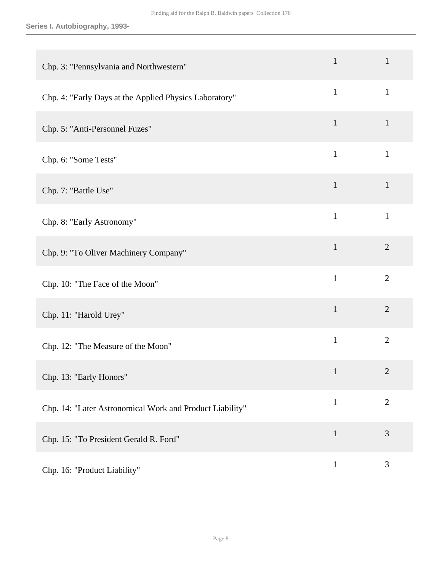| Chp. 3: "Pennsylvania and Northwestern"                  | $\mathbf{1}$ | $\mathbf{1}$   |
|----------------------------------------------------------|--------------|----------------|
| Chp. 4: "Early Days at the Applied Physics Laboratory"   | $\mathbf{1}$ | $\mathbf{1}$   |
| Chp. 5: "Anti-Personnel Fuzes"                           | $\mathbf{1}$ | $\mathbf{1}$   |
| Chp. 6: "Some Tests"                                     | $\mathbf{1}$ | $\mathbf{1}$   |
| Chp. 7: "Battle Use"                                     | $\mathbf{1}$ | $\mathbf{1}$   |
| Chp. 8: "Early Astronomy"                                | $\mathbf{1}$ | $\mathbf{1}$   |
| Chp. 9: "To Oliver Machinery Company"                    | $\mathbf{1}$ | $\overline{2}$ |
| Chp. 10: "The Face of the Moon"                          | $\mathbf{1}$ | $\overline{2}$ |
| Chp. 11: "Harold Urey"                                   | $\mathbf{1}$ | $\overline{2}$ |
| Chp. 12: "The Measure of the Moon"                       | $\mathbf{1}$ | $\overline{2}$ |
| Chp. 13: "Early Honors"                                  | $\mathbf{1}$ | $\overline{2}$ |
| Chp. 14: "Later Astronomical Work and Product Liability" | $\mathbf{1}$ | $\overline{2}$ |
| Chp. 15: "To President Gerald R. Ford"                   | $\mathbf{1}$ | 3              |
| Chp. 16: "Product Liability"                             | $\mathbf{1}$ | $\mathfrak{Z}$ |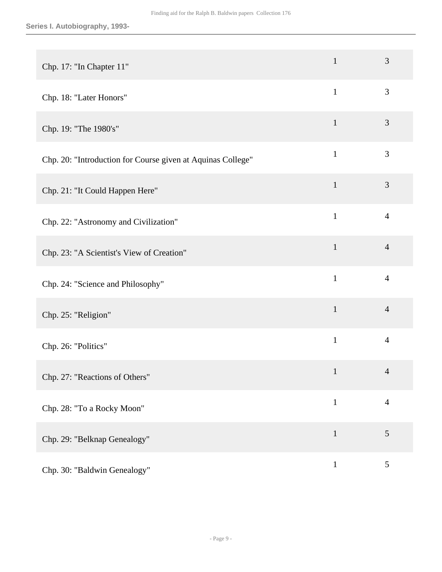| Chp. 17: "In Chapter 11"                                    | $\mathbf{1}$ | 3              |
|-------------------------------------------------------------|--------------|----------------|
| Chp. 18: "Later Honors"                                     | $\mathbf{1}$ | 3              |
| Chp. 19: "The 1980's"                                       | $\mathbf{1}$ | 3              |
| Chp. 20: "Introduction for Course given at Aquinas College" | $\mathbf{1}$ | 3              |
| Chp. 21: "It Could Happen Here"                             | $\mathbf{1}$ | 3              |
| Chp. 22: "Astronomy and Civilization"                       | $\mathbf{1}$ | $\overline{4}$ |
| Chp. 23: "A Scientist's View of Creation"                   | $\mathbf{1}$ | $\overline{4}$ |
| Chp. 24: "Science and Philosophy"                           | $\mathbf{1}$ | $\overline{4}$ |
| Chp. 25: "Religion"                                         | $\mathbf{1}$ | $\overline{4}$ |
| Chp. 26: "Politics"                                         | $\mathbf{1}$ | $\overline{4}$ |
| Chp. 27: "Reactions of Others"                              | $\mathbf{1}$ | $\Delta$       |
| Chp. 28: "To a Rocky Moon"                                  | $\mathbf{1}$ | $\overline{4}$ |
| Chp. 29: "Belknap Genealogy"                                | $\mathbf{1}$ | $\mathfrak{S}$ |
| Chp. 30: "Baldwin Genealogy"                                | $\mathbf{1}$ | 5              |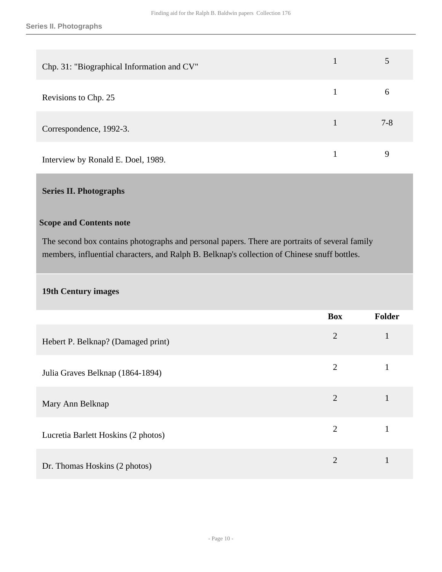| Chp. 31: "Biographical Information and CV" |         |
|--------------------------------------------|---------|
| Revisions to Chp. 25                       | 6       |
| Correspondence, 1992-3.                    | $7 - 8$ |
| Interview by Ronald E. Doel, 1989.         | 9       |

## <span id="page-9-0"></span>**Series II. Photographs**

#### **Scope and Contents note**

The second box contains photographs and personal papers. There are portraits of several family members, influential characters, and Ralph B. Belknap's collection of Chinese snuff bottles.

### **19th Century images**

|                                     | <b>Box</b>     | Folder       |
|-------------------------------------|----------------|--------------|
| Hebert P. Belknap? (Damaged print)  | $\overline{2}$ | $\mathbf{1}$ |
| Julia Graves Belknap (1864-1894)    | $\overline{2}$ |              |
| Mary Ann Belknap                    | $\overline{2}$ |              |
| Lucretia Barlett Hoskins (2 photos) | $\overline{2}$ |              |
| Dr. Thomas Hoskins (2 photos)       | $\overline{2}$ |              |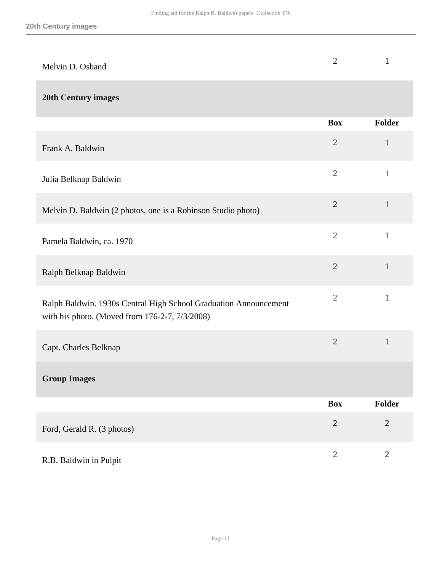| Melvin D. Osband                                                                                                   | $\overline{2}$ | 1              |
|--------------------------------------------------------------------------------------------------------------------|----------------|----------------|
| <b>20th Century images</b>                                                                                         |                |                |
|                                                                                                                    | <b>Box</b>     | Folder         |
| Frank A. Baldwin                                                                                                   | $\overline{2}$ | $\mathbf{1}$   |
| Julia Belknap Baldwin                                                                                              | $\overline{2}$ | $\mathbf{1}$   |
| Melvin D. Baldwin (2 photos, one is a Robinson Studio photo)                                                       | $\overline{2}$ | $\mathbf{1}$   |
| Pamela Baldwin, ca. 1970                                                                                           | $\overline{2}$ | $\mathbf{1}$   |
| Ralph Belknap Baldwin                                                                                              | $\overline{2}$ | $\mathbf{1}$   |
| Ralph Baldwin. 1930s Central High School Graduation Announcement<br>with his photo. (Moved from 176-2-7, 7/3/2008) | $\overline{2}$ | $\mathbf{1}$   |
| Capt. Charles Belknap                                                                                              | $\overline{2}$ | $\mathbf{1}$   |
| <b>Group Images</b>                                                                                                |                |                |
|                                                                                                                    | <b>Box</b>     | Folder         |
| Ford, Gerald R. (3 photos)                                                                                         | $\overline{2}$ | $\overline{2}$ |
| R.B. Baldwin in Pulpit                                                                                             | $\overline{2}$ | $\mathbf{2}$   |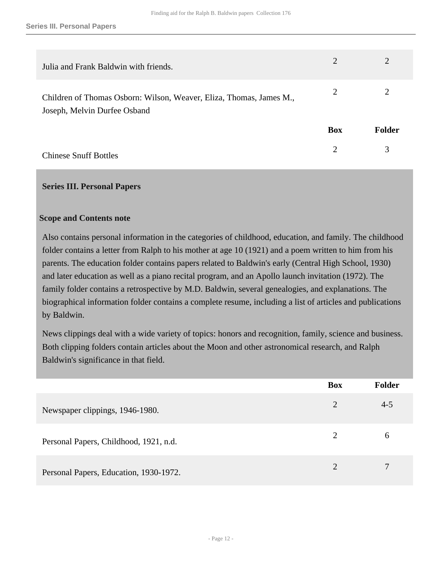| Julia and Frank Baldwin with friends.                                                               | 2          | 2             |
|-----------------------------------------------------------------------------------------------------|------------|---------------|
| Children of Thomas Osborn: Wilson, Weaver, Eliza, Thomas, James M.,<br>Joseph, Melvin Durfee Osband | 2          | 2             |
|                                                                                                     | <b>Box</b> | <b>Folder</b> |
| <b>Chinese Snuff Bottles</b>                                                                        | 2          | 3             |

#### <span id="page-11-0"></span>**Series III. Personal Papers**

#### **Scope and Contents note**

Also contains personal information in the categories of childhood, education, and family. The childhood folder contains a letter from Ralph to his mother at age 10 (1921) and a poem written to him from his parents. The education folder contains papers related to Baldwin's early (Central High School, 1930) and later education as well as a piano recital program, and an Apollo launch invitation (1972). The family folder contains a retrospective by M.D. Baldwin, several genealogies, and explanations. The biographical information folder contains a complete resume, including a list of articles and publications by Baldwin.

News clippings deal with a wide variety of topics: honors and recognition, family, science and business. Both clipping folders contain articles about the Moon and other astronomical research, and Ralph Baldwin's significance in that field.

|                                        | <b>Box</b> | <b>Folder</b> |
|----------------------------------------|------------|---------------|
| Newspaper clippings, 1946-1980.        | 2          | $4 - 5$       |
| Personal Papers, Childhood, 1921, n.d. | 2          | 6             |
| Personal Papers, Education, 1930-1972. | 2          | 7             |